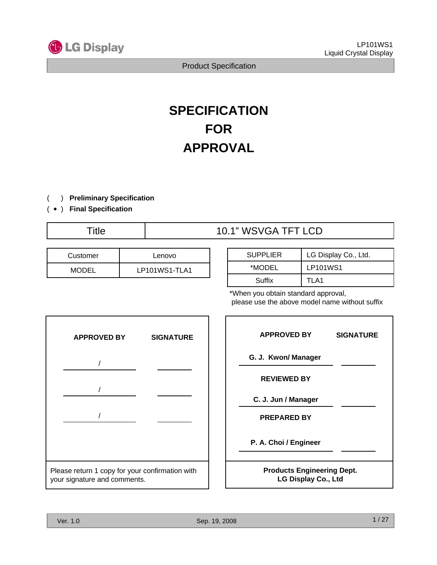

# **SPECIFICATION FOR APPROVAL**

- ) **Preliminary Specification** (
- ) ( **Final Specification** ◆

# Title 10.1" WSVGA TFT LCD

| Customer     | Lenovo        |  |  |  |
|--------------|---------------|--|--|--|
| <b>MODEL</b> | LP101WS1-TLA1 |  |  |  |

| <b>SUPPLIER</b> | LG Display Co., Ltd. |
|-----------------|----------------------|
| *MODEL          | <b>LP101WS1</b>      |
| Suffix          | TLA1                 |

\*When you obtain standard approval, please use the above model name without suffix



| <b>APPROVED BY</b>                                              | <b>SIGNATURE</b> |
|-----------------------------------------------------------------|------------------|
| G. J. Kwon/ Manager                                             |                  |
| <b>REVIEWED BY</b>                                              |                  |
| C. J. Jun / Manager                                             |                  |
| <b>PREPARED BY</b>                                              |                  |
| P. A. Choi / Engineer                                           |                  |
| <b>Products Engineering Dept.</b><br><b>LG Display Co., Ltd</b> |                  |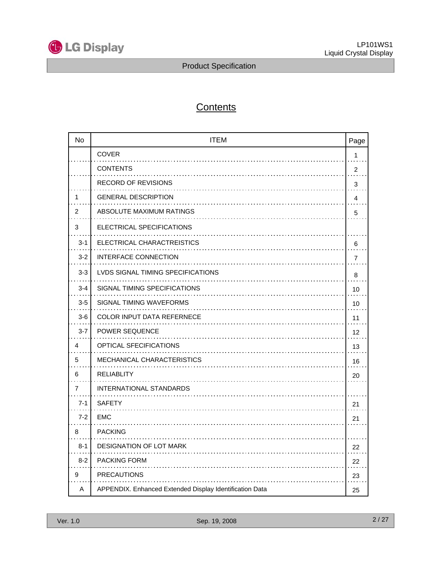

# **Contents**

| No      | <b>ITEM</b>                                             | Page           |
|---------|---------------------------------------------------------|----------------|
|         | <b>COVER</b>                                            | 1              |
|         | <b>CONTENTS</b>                                         | 2              |
|         | <b>RECORD OF REVISIONS</b>                              | 3              |
| 1       | <b>GENERAL DESCRIPTION</b>                              | 4              |
| 2       | ABSOLUTE MAXIMUM RATINGS                                | 5              |
| 3       | ELECTRICAL SPECIFICATIONS                               |                |
| $3 - 1$ | ELECTRICAL CHARACTREISTICS                              | 6              |
| $3 - 2$ | <b>INTERFACE CONNECTION</b>                             | $\overline{7}$ |
| $3 - 3$ | LVDS SIGNAL TIMING SPECIFICATIONS                       | 8              |
| $3 - 4$ | SIGNAL TIMING SPECIFICATIONS                            | 10             |
| $3-5$   | SIGNAL TIMING WAVEFORMS                                 | 10             |
| 3-6     | <b>COLOR INPUT DATA REFERNECE</b>                       | 11             |
| 3-7     | <b>POWER SEQUENCE</b>                                   | 12             |
| 4       | <b>OPTICAL SFECIFICATIONS</b>                           | 13             |
| 5       | <b>MECHANICAL CHARACTERISTICS</b>                       | 16             |
| 6       | RELIABLITY                                              | 20             |
| 7       | INTERNATIONAL STANDARDS                                 |                |
| $7 - 1$ | <b>SAFETY</b>                                           | 21             |
| $7 - 2$ | EMC                                                     | 21             |
| 8       | <b>PACKING</b>                                          |                |
| $8 - 1$ | DESIGNATION OF LOT MARK                                 | 22             |
| $8 - 2$ | <b>PACKING FORM</b>                                     | 22             |
| 9       | <b>PRECAUTIONS</b>                                      | 23             |
| A       | APPENDIX. Enhanced Extended Display Identification Data | 25             |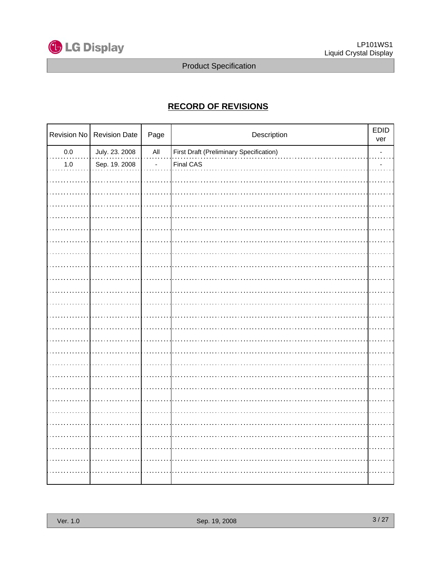

# **RECORD OF REVISIONS**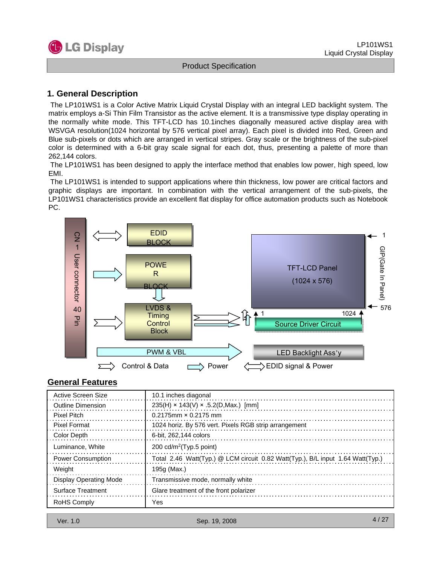

## **1. General Description**

The LP101WS1 is a Color Active Matrix Liquid Crystal Display with an integral LED backlight system. The matrix employs a-Si Thin Film Transistor as the active element. It is a transmissive type display operating in the normally white mode. This TFT-LCD has 10.1inches diagonally measured active display area with WSVGA resolution(1024 horizontal by 576 vertical pixel array). Each pixel is divided into Red, Green and Blue sub-pixels or dots which are arranged in vertical stripes. Gray scale or the brightness of the sub-pixel color is determined with a 6-bit gray scale signal for each dot, thus, presenting a palette of more than 262,144 colors.

The LP101WS1 has been designed to apply the interface method that enables low power, high speed, low EMI.

The LP101WS1 is intended to support applications where thin thickness, low power are critical factors and graphic displays are important. In combination with the vertical arrangement of the sub-pixels, the LP101WS1 characteristics provide an excellent flat display for office automation products such as Notebook PC.



### **General Features**

| Active Screen Size            | 10.1 inches diagonal                                                           |
|-------------------------------|--------------------------------------------------------------------------------|
| <b>Outline Dimension</b>      | $235(H) \times 143(V) \times .5.2(D, Max.)$ [mm]                               |
| Pixel Pitch                   | $0.2175$ mm $\times$ 0.2175 mm                                                 |
| <b>Pixel Format</b>           | 1024 horiz. By 576 vert. Pixels RGB strip arrangement                          |
| Color Depth                   | 6-bit, 262,144 colors                                                          |
| Luminance, White              | 200 cd/m <sup>2</sup> (Typ.5 point)                                            |
| Power Consumption             | Total 2.46 Watt(Typ.) @ LCM circuit 0.82 Watt(Typ.), B/L input 1.64 Watt(Typ.) |
| Weight                        | 195g (Max.)                                                                    |
| <b>Display Operating Mode</b> | Transmissive mode, normally white                                              |
| Surface Treatment             | Glare treatment of the front polarizer                                         |
| <b>RoHS Comply</b>            | Yes                                                                            |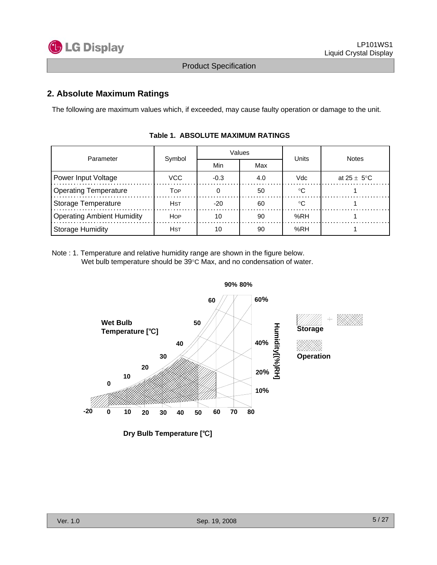

# **2. Absolute Maximum Ratings**

The following are maximum values which, if exceeded, may cause faulty operation or damage to the unit.

| Parameter                         | Symbol      |        | Values | Units | <b>Notes</b>            |  |
|-----------------------------------|-------------|--------|--------|-------|-------------------------|--|
|                                   |             | Min    | Max    |       |                         |  |
| Power Input Voltage               | VCC.        | $-0.3$ | 4.0    | Vdc   | at $25 \pm 5^{\circ}$ C |  |
| <b>Operating Temperature</b>      | TOP         |        | 50     | ം     |                         |  |
| Storage Temperature               | Hst         | $-20$  | 60     | ം     |                         |  |
| <b>Operating Ambient Humidity</b> | <b>HOP</b>  | 10     | 90     | %RH   |                         |  |
| Storage Humidity                  | <b>H</b> st | 10     | 90     | %RH   |                         |  |

#### **Table 1. ABSOLUTE MAXIMUM RATINGS**

Note : 1. Temperature and relative humidity range are shown in the figure below. Wet bulb temperature should be 39°C Max, and no condensation of water.



**Dry Bulb Temperature [**℃**]**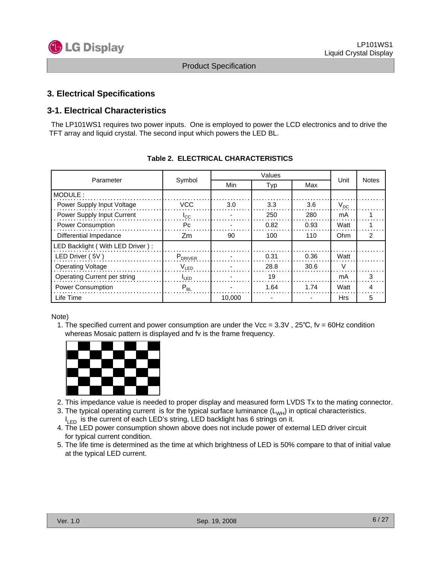

# **3. Electrical Specifications**

## **3-1. Electrical Characteristics**

The LP101WS1 requires two power inputs. One is employed to power the LCD electronics and to drive the TFT array and liquid crystal. The second input which powers the LED BL.

| Parameter                        |              |        | Unit | <b>Notes</b> |            |   |  |
|----------------------------------|--------------|--------|------|--------------|------------|---|--|
|                                  | Symbol       | Min    | Typ  | Max          |            |   |  |
| MODULE:                          |              |        |      |              |            |   |  |
| Power Supply Input Voltage       | <b>VCC</b>   | 3.0    | 3.3  | 3.6          | $V_{DC}$   |   |  |
| Power Supply Input Current       | $I_{\rm CC}$ |        | 250  | 280          | mA         |   |  |
| <b>Power Consumption</b>         | Pc           |        | 0.82 | 0.93         | Watt       |   |  |
| Differential Impedance           | Zm           | 90     | 100  | 110          | Ohm        | 2 |  |
| LED Backlight (With LED Driver): |              |        |      |              |            |   |  |
| LED Driver (5V)                  | $P_{DRIVER}$ |        | 0.31 | 0.36         | Watt       |   |  |
| <b>Operating Voltage</b>         | $V_{LED}$    |        | 28.8 | 30.6         | V          |   |  |
| Operating Current per string     | $I_{LED}$    |        | 19   |              | mA         | 3 |  |
| <b>Power Consumption</b>         | $P_{BL}$     |        | 1.64 | 1.74         | Watt       | 4 |  |
| Life Time                        |              | 10.000 |      |              | <b>Hrs</b> | 5 |  |

### **Table 2. ELECTRICAL CHARACTERISTICS**

Note)

1. The specified current and power consumption are under the Vcc = 3.3V , 25℃, fv = 60Hz condition whereas Mosaic pattern is displayed and fv is the frame frequency.



- 2. This impedance value is needed to proper display and measured form LVDS Tx to the mating connector.
- 3. The typical operating current is for the typical surface luminance  $(L_{WH})$  in optical characteristics.
- I<sub>LED</sub> is the current of each LED's string, LED backlight has 6 strings on it.
- 4. The LED power consumption shown above does not include power of external LED driver circuit for typical current condition.
- 5. The life time is determined as the time at which brightness of LED is 50% compare to that of initial value at the typical LED current.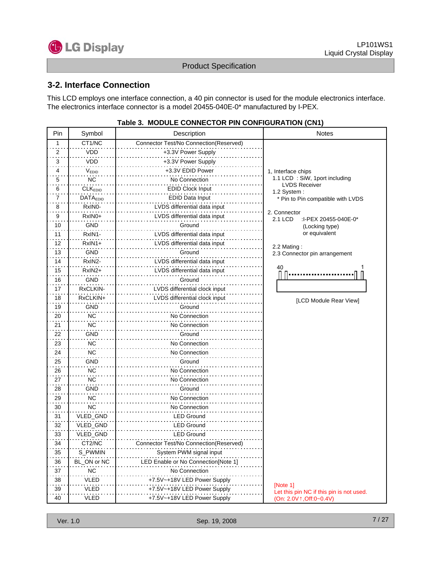

### **3-2. Interface Connection**

This LCD employs one interface connection, a 40 pin connector is used for the module electronics interface. The electronics interface connector is a model 20455-040E-0\* manufactured by I-PEX.

| Pin | Symbol              | Description                                   | Notes                                                |  |  |
|-----|---------------------|-----------------------------------------------|------------------------------------------------------|--|--|
| 1   | CT1/NC              | <b>Connector Test/No Connection(Reserved)</b> |                                                      |  |  |
| 2   | <b>VDD</b>          | +3.3V Power Supply                            |                                                      |  |  |
| 3   | <b>VDD</b>          | +3.3V Power Supply                            |                                                      |  |  |
| 4   | V <sub>EDID</sub>   | +3.3V EDID Power                              | 1, Interface chips                                   |  |  |
| 5   | <b>NC</b>           | No Connection                                 | 1.1 LCD: SiW, 1port including                        |  |  |
| 6   | CLK <sub>EDID</sub> | <b>EDID Clock Input</b>                       | <b>LVDS Receiver</b><br>1.2 System:                  |  |  |
| 7   | <b>DATAEDID</b>     | <b>EDID Data Input</b>                        | * Pin to Pin compatible with LVDS                    |  |  |
| 8   | RxIN <sub>0</sub> - | LVDS differential data input                  |                                                      |  |  |
| 9   | RxIN0+              | LVDS differential data input                  | 2. Connector<br>2.1 LCD<br>:I-PEX 20455-040E-0*      |  |  |
| 10  | <b>GND</b>          | Ground                                        | (Locking type)                                       |  |  |
| 11  | RxIN1-              | LVDS differential data input                  | or equivalent                                        |  |  |
| 12  | $RxIN1+$            | LVDS differential data input                  |                                                      |  |  |
| 13  | GND                 | Ground                                        | 2.2 Mating:<br>2.3 Connector pin arrangement         |  |  |
| 14  | RxIN2-              | LVDS differential data input                  |                                                      |  |  |
| 15  | RxIN2+              | LVDS differential data input                  | 40<br>1                                              |  |  |
| 16  | <b>GND</b>          | Ground                                        |                                                      |  |  |
| 17  | RxCLKIN-            | LVDS differential clock input                 |                                                      |  |  |
| 18  | RxCLKIN+            | LVDS differential clock input                 | [LCD Module Rear View]                               |  |  |
| 19  | <b>GND</b>          | Ground                                        |                                                      |  |  |
| 20  | <b>NC</b>           | No Connection                                 |                                                      |  |  |
| 21  | <b>NC</b>           | No Connection                                 |                                                      |  |  |
| 22  | GND                 | Ground                                        |                                                      |  |  |
| 23  | <b>NC</b>           | No Connection                                 |                                                      |  |  |
| 24  | <b>NC</b>           | No Connection                                 |                                                      |  |  |
| 25  | <b>GND</b>          | Ground                                        |                                                      |  |  |
| 26  | <b>NC</b>           | No Connection                                 |                                                      |  |  |
| 27  | <b>NC</b>           | No Connection                                 |                                                      |  |  |
| 28  | GND                 | Ground                                        |                                                      |  |  |
| 29  | <b>NC</b>           | No Connection                                 |                                                      |  |  |
| 30  | <b>NC</b>           | No Connection                                 |                                                      |  |  |
| 31  | VLED_GND            | <b>LED Ground</b>                             |                                                      |  |  |
| 32  | VLED_GND            | <b>LED Ground</b>                             |                                                      |  |  |
| 33  | VLED_GND            | <b>LED Ground</b>                             |                                                      |  |  |
| 34  | CT2/NC              | Connector Test/No Connection(Reserved)        |                                                      |  |  |
| 35  | S_PWMIN             | System PWM signal input                       |                                                      |  |  |
| 36  | BL_ON or NC         | LED Enable or No Connection[Note 1]           |                                                      |  |  |
| 37  | <b>NC</b>           | No Connection                                 |                                                      |  |  |
| 38  | <b>VLED</b>         | +7.5V~+18V LED Power Supply                   |                                                      |  |  |
| 39  | <b>VLED</b>         | +7.5V~+18V LED Power Supply                   | [Note 1]<br>Let this pin NC if this pin is not used. |  |  |
| 40  | <b>VLED</b>         | +7.5V~+18V LED Power Supply                   | (On: 2.0V ↑, Off: 0~0.4V)                            |  |  |

#### **Table 3. MODULE CONNECTOR PIN CONFIGURATION (CN1)**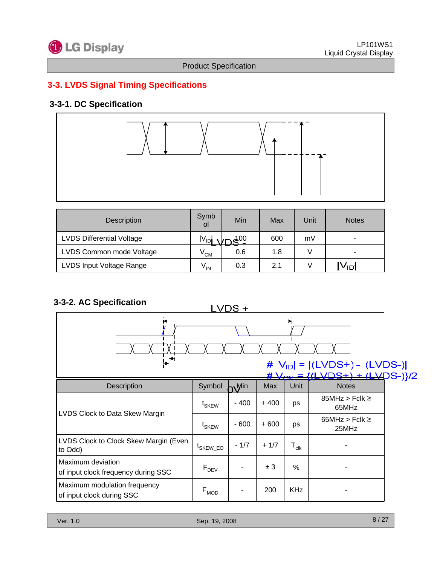

# **3-3. LVDS Signal Timing Specifications**

# **3-3-1. DC Specification**



| Description                      | Symb<br><sup>o</sup>       | Min | Max | Unit | <b>Notes</b>    |
|----------------------------------|----------------------------|-----|-----|------|-----------------|
| <b>LVDS Differential Voltage</b> | $ V^{}_{\mathsf{ID}} $     | 400 | 600 | mV   | ۰               |
| LVDS Common mode Voltage         | $\rm V_{CM}$               | 0.6 | 1.8 |      | ۰               |
| LVDS Input Voltage Range         | $\mathsf{V}_{\mathsf{IN}}$ | 0.3 | 2.1 |      | $V_{\text{ID}}$ |

# **3-3-2. AC Specification**

 $LVDS +$ 



|                                                           |                                |        | 77     | v t :M                      | ਚਦਮ⊃<br>▚▚▙▖▞▏               |
|-----------------------------------------------------------|--------------------------------|--------|--------|-----------------------------|------------------------------|
| <b>Description</b>                                        | Symbol                         | Min    | Max    | Unit                        | <b>Notes</b>                 |
|                                                           | t <sub>SKEW</sub>              | $-400$ | $+400$ | ps                          | $85MHz > Fclk \geq$<br>65MHz |
| LVDS Clock to Data Skew Margin                            | $\mathfrak{t}_{\mathsf{SKEW}}$ | $-600$ | $+600$ | ps                          | $65MHz > Fclk \ge$<br>25MHz  |
| LVDS Clock to Clock Skew Margin (Even<br>to Odd)          | <sup>L</sup> SKEW EO           | $-1/7$ | $+1/7$ | $\mathsf{T}_{\mathsf{clk}}$ |                              |
| Maximum deviation<br>of input clock frequency during SSC  | $F_{DEV}$                      |        | ± 3    | $\%$                        |                              |
| Maximum modulation frequency<br>of input clock during SSC | $F_{MOD}$                      |        | 200    | <b>KHz</b>                  |                              |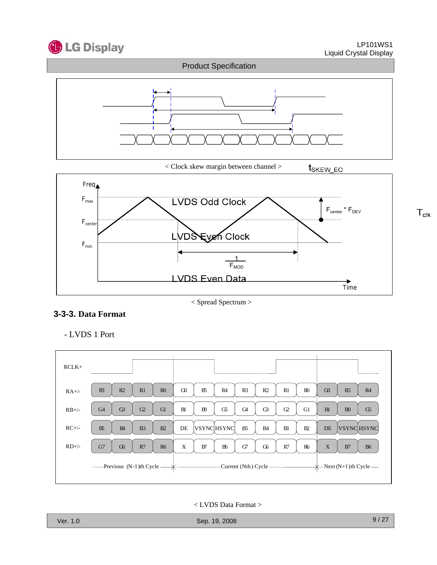

Time

 $T_{\rm{clk}}$ 



**3-3-3. Data Format**



< Spread Spectrum >

**LVDS Even Data** 

- LVDS 1 Port

< LVDS Data Format >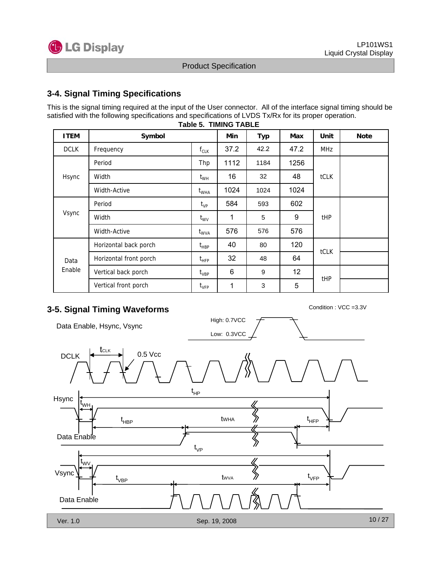

# **3-4. Signal Timing Specifications**

This is the signal timing required at the input of the User connector. All of the interface signal timing should be satisfied with the following specifications and specifications of LVDS Tx/Rx for its proper operation.

| <b>ITEM</b>    | Symbol                 |                                     | Min  | <b>Typ</b> | <b>Max</b> | Unit       | <b>Note</b> |
|----------------|------------------------|-------------------------------------|------|------------|------------|------------|-------------|
| <b>DCLK</b>    | Frequency              | $f_{CLK}$                           | 37.2 | 42.2       | 47.2       | <b>MHz</b> |             |
|                | Period                 | Thp                                 | 1112 | 1184       | 1256       |            |             |
| Hsync          | Width                  | $t_{WH}$                            | 16   | 32         | 48         | tCLK       |             |
|                | Width-Active           | $t_{\scriptscriptstyle \text{WHA}}$ | 1024 | 1024       | 1024       |            |             |
| Vsync          | Period                 | $t_{VP}$                            | 584  | 593        | 602        | <b>tHP</b> |             |
|                | Width                  | $t_{\rm WV}$                        | 1    | 5          | 9          |            |             |
|                | Width-Active           | $t_{\text{WVA}}$                    | 576  | 576        | 576        |            |             |
|                | Horizontal back porch  | $t_{\sf HBP}$                       | 40   | 80         | 120        |            |             |
| Data<br>Enable | Horizontal front porch | $t_{HFP}$                           | 32   | 48         | 64         | tCLK       |             |
|                | Vertical back porch    | t <sub>VBP</sub>                    | 6    | 9          | 12         |            |             |
|                | Vertical front porch   | $t_{\rm VFP}$                       | 1    | 3          | 5          | tHP        |             |

#### **Table 5. TIMING TABLE**

# **3-5. Signal Timing Waveforms** Condition : VCC =3.3V

Data Enable, Hsync, Vsync



High: 0.7VCC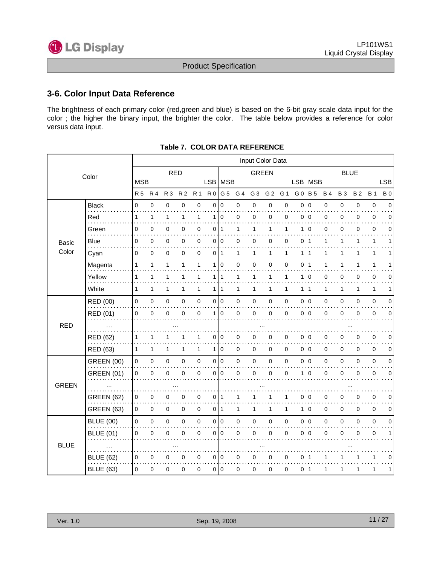

## **3-6. Color Input Data Reference**

The brightness of each primary color (red,green and blue) is based on the 6-bit gray scale data input for the color ; the higher the binary input, the brighter the color. The table below provides a reference for color versus data input.

|              |                   |              |                  |              |                |                |                |                | Input Color Data |                |                |              |                |                         |              |           |             |              |              |
|--------------|-------------------|--------------|------------------|--------------|----------------|----------------|----------------|----------------|------------------|----------------|----------------|--------------|----------------|-------------------------|--------------|-----------|-------------|--------------|--------------|
|              | Color             |              |                  | <b>RED</b>   |                |                |                |                |                  |                | <b>GREEN</b>   |              |                |                         |              |           | <b>BLUE</b> |              |              |
|              |                   | <b>MSB</b>   |                  |              |                |                |                | LSB   MSB      |                  |                |                |              |                | LSB   MSB<br><b>LSB</b> |              |           |             |              |              |
|              |                   | <b>R5</b>    | <b>R4</b>        | <b>R3</b>    | R <sub>2</sub> | R <sub>1</sub> | R <sub>0</sub> | G <sub>5</sub> | G 4              | G <sub>3</sub> | G <sub>2</sub> | G 1          | G <sub>0</sub> | <b>B</b> <sub>5</sub>   | <b>B4</b>    | <b>B3</b> | <b>B2</b>   | <b>B</b> 1   | <b>B</b> 0   |
|              | <b>Black</b>      | 0            | $\mathbf 0$      | 0            | 0              | $\mathbf 0$    | 0              | $\mathbf 0$    | 0                | $\pmb{0}$      | 0              | 0            | 0              | $\mathbf 0$             | 0            | 0         | $\pmb{0}$   | 0            | 0            |
|              | Red<br>$\sim 100$ | 1            | $\mathbf{1}$     | $\mathbf{1}$ | $\mathbf{1}$   | $\mathbf{1}$   | 1              | $\mathbf 0$    | $\mathbf 0$      | $\pmb{0}$      | $\pmb{0}$      | 0            | $\Omega$       | 0                       | 0            | 0         | 0           | $\mathbf 0$  | $\Omega$     |
| Basic        | Green             | 0            | $\mathbf 0$      | 0            | 0              | 0              | 0              | $\overline{1}$ | 1                | 1              | 1              | 1            |                | $\mathbf 0$             | 0            | 0         | 0           | 0            | $\Omega$     |
|              | Blue              | 0            | $\mathbf 0$      | 0            | 0              | 0              | 0              | 10             | 0                | 0              | 0              | 0            | 0              | $\vert$ 1               | $\mathbf{1}$ | 1         | 1           | $\mathbf{1}$ | 1            |
| Color        | Cyan              | 0            | 0                | 0            | 0              | 0              | 0              | l 1            | 1                | 1              | 1              | 1            | 1              |                         | 1            | 1         |             | 1            |              |
|              | Magenta           | 1            | 1                | 1            | $\mathbf{1}$   | 1              | 1              | $\mathbf 0$    | 0                | $\mathbf 0$    | 0              | 0            | 0              | $\mathbf{1}$            | 1            | 1         | 1           | 1            | 1            |
|              | Yellow            | 1            | $\mathbf{1}$     | $\mathbf{1}$ | 1              | $\mathbf{1}$   | 1              | $\mathbf{1}$   | 1                | $\mathbf{1}$   | $\mathbf{1}$   | 1            | 1              | 0                       | 0            | 0         | $\mathbf 0$ | $\pmb{0}$    | $\mathbf 0$  |
|              | White             | 1            | 1                | 1            | 1              | 1              | 1              | 1              | 1                | 1              | $\mathbf{1}$   | $\mathbf{1}$ | 1              | $\mathbf{1}$            | 1            | 1         | 1           | $\mathbf{1}$ | 1            |
|              | RED (00)          | 0            | $\pmb{0}$        | 0            | 0              | $\pmb{0}$      | 0              | l o            | $\pmb{0}$        | $\mathbf 0$    | $\mathbf 0$    | 0            | $\mathbf 0$    | 0                       | 0            | 0         | 0           | $\pmb{0}$    | $\mathbf 0$  |
|              | RED (01)          | 0            | $\mathbf 0$      | 0            | $\Omega$       | $\mathbf 0$    | 1              | $\overline{0}$ | $\mathbf 0$      | $\mathbf 0$    | 0              | 0            | $\Omega$       | $\Omega$                | 0            | 0         | 0           | 0            | 0            |
| <b>RED</b>   | $\cdots$          |              |                  |              |                |                |                |                |                  |                |                |              |                |                         |              |           |             |              |              |
|              | RED (62)          | 1            | 1                |              |                | 1              | 0              | 0              | $\pmb{0}$        | 0              | $\pmb{0}$      | 0            | 0              | $\overline{0}$          | 0            | 0         | 0           | 0            | 0            |
|              | RED (63)          | $\mathbf{1}$ | $\mathbf{1}$     | 1            | 1              | $\mathbf{1}$   | 1              | $\pmb{0}$      | $\mathbf 0$      | $\mathbf 0$    | $\mathsf 0$    | 0            | $\mathbf 0$    | l 0                     | 0            | 0         | 0           | $\pmb{0}$    | 0            |
|              | <b>GREEN (00)</b> | $\pmb{0}$    | $\mathbf 0$      | 0            | $\pmb{0}$      | $\pmb{0}$      | 0              | $\overline{0}$ | $\pmb{0}$        | $\pmb{0}$      | $\mathbf 0$    | 0            | $\mathbf 0$    | $\overline{0}$          | 0            | 0         | 0           | $\pmb{0}$    | $\mathbf 0$  |
|              | <b>GREEN (01)</b> | 0            | $\mathbf 0$      | 0            | $\Omega$       | $\mathbf 0$    | 0              | $\overline{0}$ | $\mathbf 0$      | $\mathbf 0$    | 0              | $\Omega$     | 1              | $\mathbf 0$             | 0            | 0         | $\Omega$    | $\mathbf 0$  | 0            |
| <b>GREEN</b> |                   |              |                  |              |                |                |                |                |                  |                |                |              |                |                         |              |           |             |              |              |
|              | <b>GREEN (62)</b> | 0            | $\boldsymbol{0}$ | 0            | 0              | $\pmb{0}$      | 0              | 1              | 1                |                |                | 1            | 0              | $\mathbf 0$             | 0            | 0         | 0           | 0            | 0            |
|              | <b>GREEN (63)</b> | $\mathbf 0$  | $\pmb{0}$        | 0            | $\mathbf 0$    | $\pmb{0}$      |                | $0$   1        | $\mathbf{1}$     | 1              | 1              | $\mathbf{1}$ | 1              | $\vert$ 0               | 0            | 0         | $\mathbf 0$ | $\pmb{0}$    | 0            |
|              | <b>BLUE (00)</b>  | 0            | $\mathbf 0$      | $\mathbf 0$  | $\mathbf 0$    | $\mathbf 0$    | $\mathbf 0$    | l o            | $\mathbf 0$      | $\mathbf 0$    | $\mathbf 0$    | 0            | $\Omega$       | l o                     | $\mathbf 0$  | 0         | 0           | $\mathbf 0$  | $\Omega$     |
|              | <b>BLUE (01)</b>  | 0            | $\mathbf 0$      | 0            | $\Omega$       | 0              | 0              | $\mathbf 0$    | 0                | $\mathbf 0$    | $\Omega$       | $\mathbf{0}$ | $\Omega$       | $\mathbf 0$             | $\Omega$     | 0         | $\Omega$    | $\mathbf 0$  | 1            |
| <b>BLUE</b>  | $\cdots$          |              |                  |              |                |                |                |                |                  |                |                |              |                |                         |              |           |             |              |              |
|              | <b>BLUE (62)</b>  | 0            | 0                | 0            | 0              | 0              | 0              | 0              | 0                | 0              | 0              | 0            | 0              |                         |              |           |             | 1            | 0            |
|              | <b>BLUE (63)</b>  | 0            | 0                | 0            | 0              | $\pmb{0}$      | 0              | 0              | $\mathbf 0$      | $\pmb{0}$      | $\pmb{0}$      | 0            | 0              | $\overline{1}$          | 1            | 1         | 1           | 1            | $\mathbf{1}$ |

#### **Table 7. COLOR DATA REFERENCE**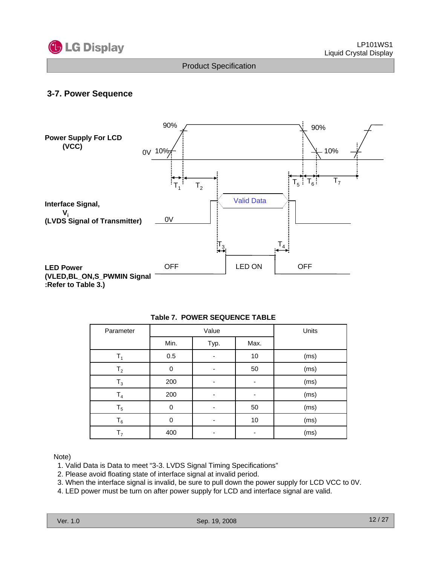

# **3-7. Power Sequence**



**:Refer to Table 3.)**

| Parameter      |          | Value | Units |      |  |
|----------------|----------|-------|-------|------|--|
|                | Min.     | Typ.  | Max.  |      |  |
| $\mathsf{T}_1$ | $0.5\,$  |       | 10    | (ms) |  |
| T <sub>2</sub> | $\Omega$ |       | 50    | (ms) |  |
| $T_3$          | 200      |       |       | (ms) |  |
| T <sub>4</sub> | 200      |       |       | (ms) |  |
| $T_5$          | $\Omega$ |       | 50    | (ms) |  |
| $T_6$          | $\Omega$ |       | 10    | (ms) |  |
| T <sub>7</sub> | 400      |       |       | (ms) |  |

### **Table 7. POWER SEQUENCE TABLE**

Note)

1. Valid Data is Data to meet "3-3. LVDS Signal Timing Specifications"

2. Please avoid floating state of interface signal at invalid period.

3. When the interface signal is invalid, be sure to pull down the power supply for LCD VCC to 0V.

4. LED power must be turn on after power supply for LCD and interface signal are valid.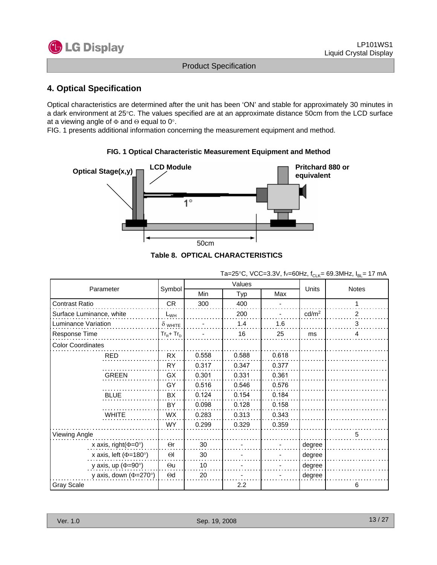

# **4. Optical Specification**

Optical characteristics are determined after the unit has been 'ON' and stable for approximately 30 minutes in a dark environment at 25°C. The values specified are at an approximate distance 50cm from the LCD surface at a viewing angle of Φ and Θ equal to 0°.

**FIG. 1 Optical Characteristic Measurement Equipment and Method**

FIG. 1 presents additional information concerning the measurement equipment and method.



# **Table 8. OPTICAL CHARACTERISTICS**

|                              |                |       |        |       |                   | $1a=23$ C, $vC=3.3v$ , $v=00112$ , $1c$ <sub>LK</sub> = 09.3101112, $1b$ <sub>LF</sub> = 17 111A |
|------------------------------|----------------|-------|--------|-------|-------------------|--------------------------------------------------------------------------------------------------|
|                              |                |       | Values |       |                   |                                                                                                  |
| Parameter                    | Symbol         | Min   | Typ    | Max   | Units             | <b>Notes</b>                                                                                     |
| <b>Contrast Ratio</b>        | CR.            | 300   | 400    |       |                   |                                                                                                  |
| Surface Luminance, white     | $L_{WH}$       |       | 200    |       | cd/m <sup>2</sup> | 2                                                                                                |
| Luminance Variation          | $\delta$ white |       | 1.4    | 1.6   |                   | 3                                                                                                |
| Response Time                | $Tr_R + Tr_D$  |       | 16     | 25    | ms                | 4                                                                                                |
| <b>Color Coordinates</b>     |                |       |        |       |                   |                                                                                                  |
| <b>RED</b>                   | <b>RX</b>      | 0.558 | 0.588  | 0.618 |                   |                                                                                                  |
|                              | <b>RY</b>      | 0.317 | 0.347  | 0.377 |                   |                                                                                                  |
| <b>GREEN</b>                 | GX             | 0.301 | 0.331  | 0.361 |                   |                                                                                                  |
|                              | GY             | 0.516 | 0.546  | 0.576 |                   |                                                                                                  |
| <b>BLUE</b>                  | <b>BX</b>      | 0.124 | 0.154  | 0.184 |                   |                                                                                                  |
|                              | BY             | 0.098 | 0.128  | 0.158 |                   |                                                                                                  |
| <b>WHITE</b>                 | <b>WX</b>      | 0.283 | 0.313  | 0.343 |                   |                                                                                                  |
|                              | <b>WY</b>      | 0.299 | 0.329  | 0.359 |                   |                                                                                                  |
| Viewing Angle                |                |       |        |       |                   | 5                                                                                                |
| x axis, right( $\Phi$ =0°)   | $\Theta$ r     | 30    |        |       | degree            |                                                                                                  |
| x axis, left ( $\Phi$ =180°) | $\Theta$       | 30    |        |       | degree            |                                                                                                  |
| y axis, up ( $\Phi$ =90°)    | $\Theta$ u     | 10    |        |       | degree            |                                                                                                  |
| y axis, down ( $\Phi$ =270°) | $\Theta$ d     | 20    |        |       | degree            |                                                                                                  |
| Gray Scale                   |                |       | 2.2    |       |                   | 6                                                                                                |

 $Ta = 25^{\circ}C$ , VCC=3.3V,  $f_V = 60Hz$ ,  $f_{C_V} = 69.3MHz$ ,  $I_B = 17 \text{ mA}$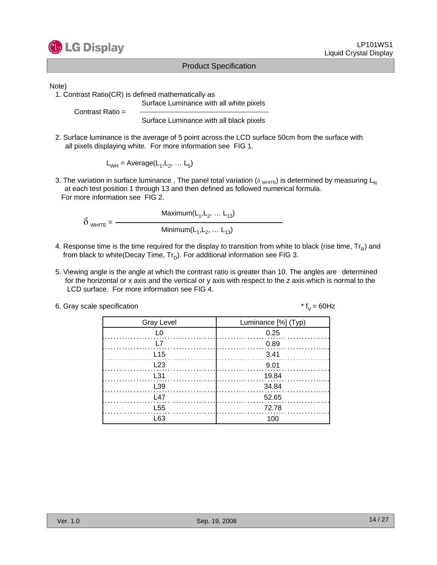

#### Note)

1. Contrast Ratio(CR) is defined mathematically as

Contrast Ratio =

Surface Luminance with all black pixels

Surface Luminance with all white pixels

2. Surface luminance is the average of 5 point across the LCD surface 50cm from the surface with all pixels displaying white. For more information see FIG 1.

 $L_{WH}$  = Average( $L_1, L_2, ... L_5$ )

3. The variation in surface luminance, The panel total variation ( $\delta_{WHTE}$ ) is determined by measuring L<sub>N</sub> at each test position 1 through 13 and then defined as followed numerical formula. For more information see FIG 2.

 $Maximum(L_1, L_2, \ldots L_{13})$  $\delta$  <sub>WHITE</sub> =  $\frac{1}{1}$ Minimum $(L_1, L_2, ... L_{13})$ 

- 4. Response time is the time required for the display to transition from white to black (rise time,  $Tr_R$ ) and from black to white(Decay Time,  $Tr_D$ ). For additional information see FIG 3.
- 5. Viewing angle is the angle at which the contrast ratio is greater than 10. The angles are determined for the horizontal or x axis and the vertical or y axis with respect to the z axis which is normal to the LCD surface. For more information see FIG 4.

| 6. Gray scale specification | * $f_v = 60$ Hz |
|-----------------------------|-----------------|
|-----------------------------|-----------------|

| <b>Gray Level</b> | Luminance [%] (Typ) |
|-------------------|---------------------|
| L0                | 0.25                |
| l 7               | 0.89                |
| L <sub>15</sub>   | 3.41                |
| L23               | 9.01                |
| $\pm 31$          | 19.84               |
| L39               | 34.84               |
| l 47              | 52.65               |
| L <sub>55</sub>   | 72.78               |
| L63               | 100                 |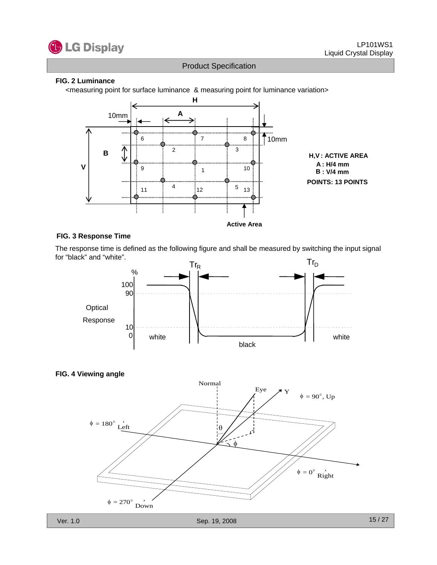

#### **FIG. 2 Luminance**

<measuring point for surface luminance & measuring point for luminance variation>



#### **FIG. 3 Response Time**

The response time is defined as the following figure and shall be measured by switching the input signal for "black" and "white".



#### **FIG. 4 Viewing angle**

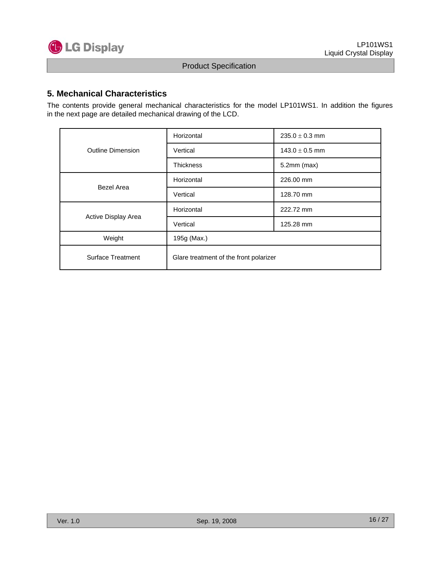

### **5. Mechanical Characteristics**

The contents provide general mechanical characteristics for the model LP101WS1. In addition the figures in the next page are detailed mechanical drawing of the LCD.

|                          | Horizontal                             | $235.0 \pm 0.3$ mm |  |  |  |  |
|--------------------------|----------------------------------------|--------------------|--|--|--|--|
| <b>Outline Dimension</b> | Vertical                               | $143.0 \pm 0.5$ mm |  |  |  |  |
|                          | <b>Thickness</b>                       | $5.2$ mm $(max)$   |  |  |  |  |
| Bezel Area               | Horizontal                             | 226,00 mm          |  |  |  |  |
|                          | Vertical                               | 128.70 mm          |  |  |  |  |
|                          | Horizontal                             | 222.72 mm          |  |  |  |  |
| Active Display Area      | Vertical                               | 125.28 mm          |  |  |  |  |
| Weight                   | 195g (Max.)                            |                    |  |  |  |  |
| <b>Surface Treatment</b> | Glare treatment of the front polarizer |                    |  |  |  |  |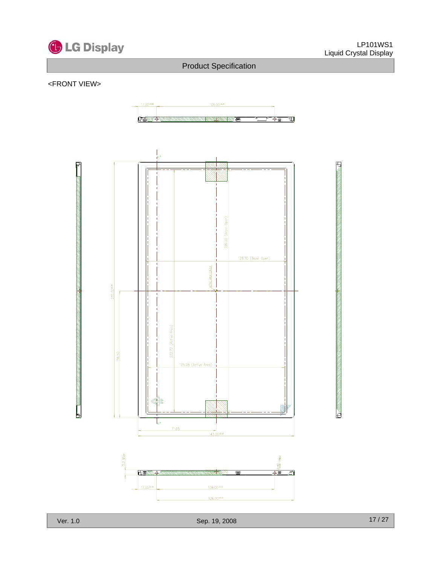

### <FRONT VIEW>

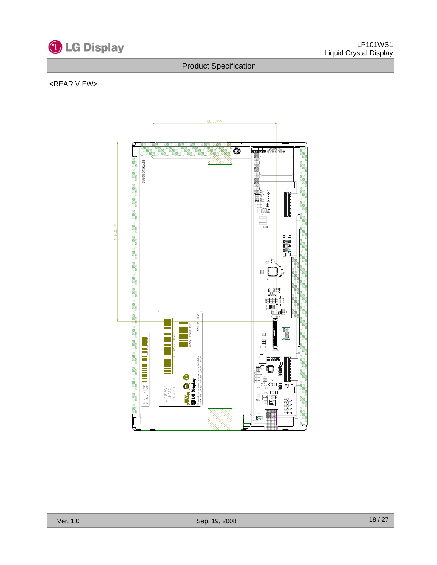

### <REAR VIEW>

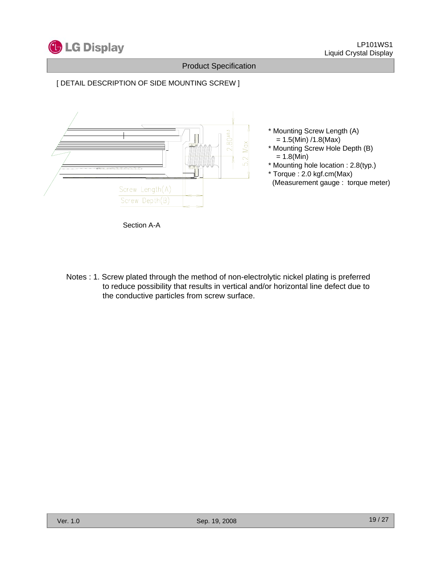

### [ DETAIL DESCRIPTION OF SIDE MOUNTING SCREW ]



Section A-A

- \* Mounting Screw Length (A)  $= 1.5(Min) / 1.8(Max)$
- \* Mounting Screw Hole Depth (B)  $= 1.8(Min)$
- \* Mounting hole location : 2.8(typ.)
- \* Torque : 2.0 kgf.cm(Max) (Measurement gauge : torque meter)

Notes : 1. Screw plated through the method of non-electrolytic nickel plating is preferred to reduce possibility that results in vertical and/or horizontal line defect due to the conductive particles from screw surface.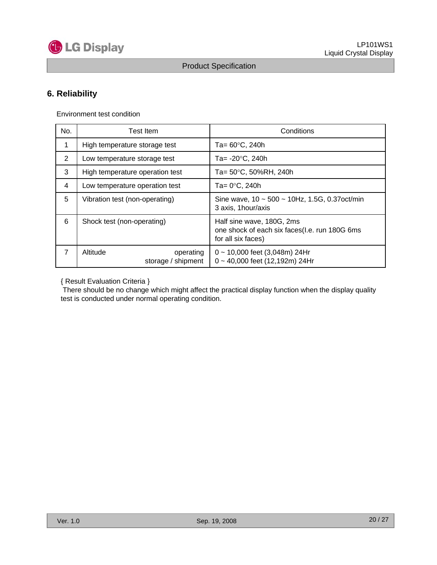

# **6. Reliability**

Environment test condition

| No. | Test Item                                   | Conditions                                                                                       |  |  |  |  |  |
|-----|---------------------------------------------|--------------------------------------------------------------------------------------------------|--|--|--|--|--|
| 1   | High temperature storage test               | Ta= 60°C, 240h                                                                                   |  |  |  |  |  |
| 2   | Low temperature storage test                | Ta= -20°C, 240h                                                                                  |  |  |  |  |  |
| 3   | High temperature operation test             | Ta= 50°C, 50%RH, 240h                                                                            |  |  |  |  |  |
| 4   | Low temperature operation test              | Ta= 0°C, 240h                                                                                    |  |  |  |  |  |
| 5   | Vibration test (non-operating)              | Sine wave, $10 \sim 500 \sim 10$ Hz, 1.5G, 0.37oct/min<br>3 axis, 1 hour/axis                    |  |  |  |  |  |
| 6   | Shock test (non-operating)                  | Half sine wave, 180G, 2ms<br>one shock of each six faces(I.e. run 180G 6ms<br>for all six faces) |  |  |  |  |  |
| 7   | Altitude<br>operating<br>storage / shipment | $0 \sim 10,000$ feet (3,048m) 24Hr<br>0~40,000 feet (12,192m) 24Hr                               |  |  |  |  |  |

{ Result Evaluation Criteria }

There should be no change which might affect the practical display function when the display quality test is conducted under normal operating condition.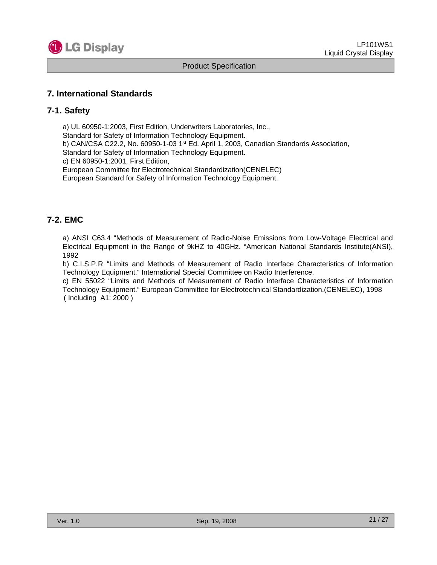

## **7. International Standards**

### **7-1. Safety**

a) UL 60950-1:2003, First Edition, Underwriters Laboratories, Inc., Standard for Safety of Information Technology Equipment. b) CAN/CSA C22.2, No. 60950-1-03 1<sup>st</sup> Ed. April 1, 2003, Canadian Standards Association, Standard for Safety of Information Technology Equipment. c) EN 60950-1:2001, First Edition, European Committee for Electrotechnical Standardization(CENELEC) European Standard for Safety of Information Technology Equipment.

## **7-2. EMC**

a) ANSI C63.4 "Methods of Measurement of Radio-Noise Emissions from Low-Voltage Electrical and Electrical Equipment in the Range of 9kHZ to 40GHz. "American National Standards Institute(ANSI), 1992

b) C.I.S.P.R "Limits and Methods of Measurement of Radio Interface Characteristics of Information Technology Equipment." International Special Committee on Radio Interference.

c) EN 55022 "Limits and Methods of Measurement of Radio Interface Characteristics of Information Technology Equipment." European Committee for Electrotechnical Standardization.(CENELEC), 1998 ( Including A1: 2000 )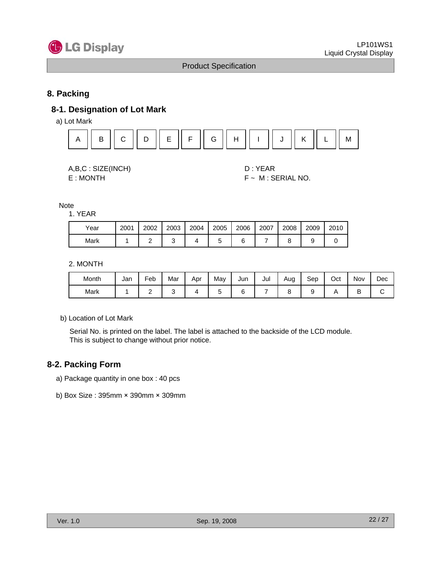

# **8. Packing**

# **8-1. Designation of Lot Mark**

a) Lot Mark



| A,B,C: SIZE(INCH) |
|-------------------|
| E : MONTH         |

D: YEAR  $F ~ M$  : SERIAL NO.

Note

1. YEAR

| Year | 2001 | 2002 | 2003 | 2004 | 2005 | 2006 | 2007 | 2008 | 2009 | 2010 |
|------|------|------|------|------|------|------|------|------|------|------|
| Mark |      |      |      |      |      |      |      |      |      |      |

2. MONTH

| Month | Jan | Feb | Mar | Apr | May | Jun | Jul | Aug | Sep | Oct | Nov | Dec |
|-------|-----|-----|-----|-----|-----|-----|-----|-----|-----|-----|-----|-----|
| Mark  |     |     |     |     |     |     |     |     |     |     | ◡   |     |

b) Location of Lot Mark

Serial No. is printed on the label. The label is attached to the backside of the LCD module. This is subject to change without prior notice.

### **8-2. Packing Form**

- a) Package quantity in one box : 40 pcs
- b) Box Size : 395mm × 390mm × 309mm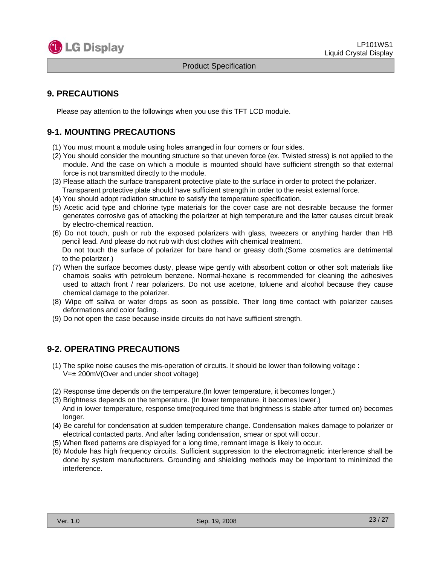

# **9. PRECAUTIONS**

Please pay attention to the followings when you use this TFT LCD module.

# **9-1. MOUNTING PRECAUTIONS**

- (1) You must mount a module using holes arranged in four corners or four sides.
- (2) You should consider the mounting structure so that uneven force (ex. Twisted stress) is not applied to the module. And the case on which a module is mounted should have sufficient strength so that external force is not transmitted directly to the module.
- (3) Please attach the surface transparent protective plate to the surface in order to protect the polarizer. Transparent protective plate should have sufficient strength in order to the resist external force.
- (4) You should adopt radiation structure to satisfy the temperature specification.
- (5) Acetic acid type and chlorine type materials for the cover case are not desirable because the former generates corrosive gas of attacking the polarizer at high temperature and the latter causes circuit break by electro-chemical reaction.
- (6) Do not touch, push or rub the exposed polarizers with glass, tweezers or anything harder than HB pencil lead. And please do not rub with dust clothes with chemical treatment. Do not touch the surface of polarizer for bare hand or greasy cloth.(Some cosmetics are detrimental to the polarizer.)
- (7) When the surface becomes dusty, please wipe gently with absorbent cotton or other soft materials like chamois soaks with petroleum benzene. Normal-hexane is recommended for cleaning the adhesives used to attach front / rear polarizers. Do not use acetone, toluene and alcohol because they cause chemical damage to the polarizer.
- (8) Wipe off saliva or water drops as soon as possible. Their long time contact with polarizer causes deformations and color fading.
- (9) Do not open the case because inside circuits do not have sufficient strength.

# **9-2. OPERATING PRECAUTIONS**

- (1) The spike noise causes the mis-operation of circuits. It should be lower than following voltage : V=± 200mV(Over and under shoot voltage)
- (2) Response time depends on the temperature.(In lower temperature, it becomes longer.)
- (3) Brightness depends on the temperature. (In lower temperature, it becomes lower.) And in lower temperature, response time(required time that brightness is stable after turned on) becomes longer.
- (4) Be careful for condensation at sudden temperature change. Condensation makes damage to polarizer or electrical contacted parts. And after fading condensation, smear or spot will occur.
- (5) When fixed patterns are displayed for a long time, remnant image is likely to occur.
- (6) Module has high frequency circuits. Sufficient suppression to the electromagnetic interference shall be done by system manufacturers. Grounding and shielding methods may be important to minimized the interference.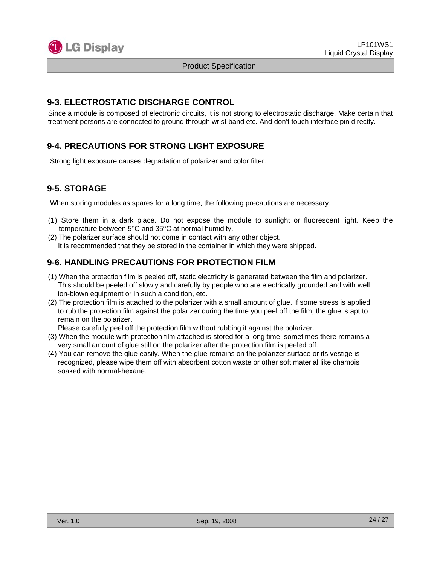

# **9-3. ELECTROSTATIC DISCHARGE CONTROL**

Since a module is composed of electronic circuits, it is not strong to electrostatic discharge. Make certain that treatment persons are connected to ground through wrist band etc. And don't touch interface pin directly.

# **9-4. PRECAUTIONS FOR STRONG LIGHT EXPOSURE**

Strong light exposure causes degradation of polarizer and color filter.

# **9-5. STORAGE**

When storing modules as spares for a long time, the following precautions are necessary.

- (1) Store them in a dark place. Do not expose the module to sunlight or fluorescent light. Keep the temperature between 5°C and 35°C at normal humidity.
- (2) The polarizer surface should not come in contact with any other object. It is recommended that they be stored in the container in which they were shipped.

# **9-6. HANDLING PRECAUTIONS FOR PROTECTION FILM**

- (1) When the protection film is peeled off, static electricity is generated between the film and polarizer. This should be peeled off slowly and carefully by people who are electrically grounded and with well ion-blown equipment or in such a condition, etc.
- (2) The protection film is attached to the polarizer with a small amount of glue. If some stress is applied to rub the protection film against the polarizer during the time you peel off the film, the glue is apt to remain on the polarizer.

Please carefully peel off the protection film without rubbing it against the polarizer.

- (3) When the module with protection film attached is stored for a long time, sometimes there remains a very small amount of glue still on the polarizer after the protection film is peeled off.
- (4) You can remove the glue easily. When the glue remains on the polarizer surface or its vestige is recognized, please wipe them off with absorbent cotton waste or other soft material like chamois soaked with normal-hexane.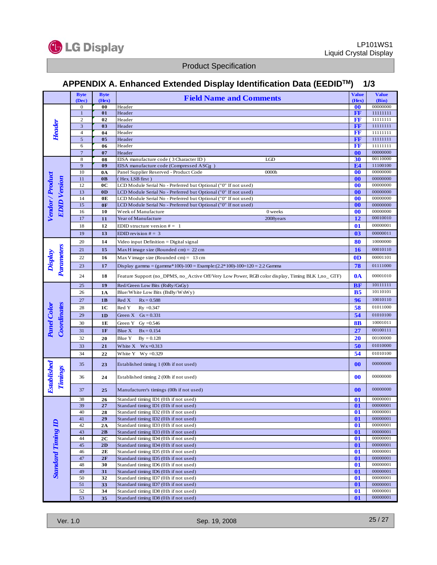

# **APPENDIX A. Enhanced Extended Display Identification Data (EEDIDTM) 1/3**

|                                         | <b>Byte</b>                  | <b>Byte</b>    |                                                                                                 | <b>Value</b>   | <b>Value</b>         |
|-----------------------------------------|------------------------------|----------------|-------------------------------------------------------------------------------------------------|----------------|----------------------|
|                                         | (Dec)                        | (Hex)          | <b>Field Name and Comments</b>                                                                  | (Hex)          | (Bin)                |
|                                         | $\bf{0}$                     | 00             | Header                                                                                          | 00             | 00000000             |
|                                         | $\mathbf{1}$                 | 01             | Header                                                                                          | FF             | 11111111             |
|                                         | $\sqrt{2}$                   | 02             | Header                                                                                          | FF             | 11111111             |
|                                         | $\sqrt{3}$                   | 03             | Header                                                                                          | FF             | 11111111<br>11111111 |
| Header                                  | $\overline{4}$<br>$\sqrt{5}$ | 04<br>05       | Header<br>Header                                                                                | FF<br>FF       | 11111111             |
|                                         | 6                            | 06             | Header                                                                                          | FF             | 11111111             |
|                                         | $\overline{7}$               | 07             | Header                                                                                          | 00             | 00000000             |
|                                         | $\,$ 8 $\,$                  | 08             | EISA manufacture code (3 Character ID)<br>LGD                                                   | 30             | 00110000             |
|                                         | $\overline{9}$               | 09             | EISA manufacture code (Compressed ASC <sub>II</sub> )                                           | E <sub>4</sub> | 11100100             |
|                                         | 10                           | $0\mathbf{A}$  | Panel Supplier Reserved - Product Code<br>0000h                                                 | 00             | 00000000             |
|                                         | 11                           | 0B             | (Hex. LSB first)                                                                                | 00             | 00000000             |
| Vendor / Product<br><b>EDID Version</b> | 12                           | 0C             | LCD Module Serial No - Preferred but Optional ("0" If not used)                                 | 00             | 00000000             |
|                                         | 13                           | 0 <sub>D</sub> | LCD Module Serial No - Preferred but Optional ("0" If not used)                                 | 00             | 00000000             |
|                                         | 14                           | 0E             | LCD Module Serial No - Preferred but Optional ("0" If not used)                                 | 00             | 00000000             |
|                                         | 15                           | 0F             | LCD Module Serial No - Preferred but Optional ("0" If not used)                                 | 00             | 00000000             |
|                                         | 16                           | 10             | Week of Manufacture<br>0 weeks                                                                  | 00             | 00000000             |
|                                         | 17                           | 11             | Year of Manufacture<br>2008years                                                                | 12             | 00010010             |
|                                         | 18                           | 12             | EDID structure version $# = 1$                                                                  | 01             | 00000001             |
|                                         | 19                           | 13             | EDID revision $# = 3$                                                                           | 03             | 00000011             |
|                                         | 20                           | 14             | Video input Definition = Digital signal                                                         | 80             | 10000000             |
| Parameters                              | 21                           | 15             | Max H image size (Rounded cm) = $22$ cm                                                         | 16             | 00010110             |
| Display                                 | 22                           | 16             | Max V image size (Rounded cm) = $13 \text{ cm}$                                                 | 0 <sub>D</sub> | 00001101             |
|                                         |                              |                |                                                                                                 |                |                      |
|                                         | 23                           | 17             | Display gamma = (gamma*100)-100 = Example: $(2.2*100)$ -100=120 = 2.2 Gamma                     | 78             | 01111000             |
|                                         | 24                           | 18             | Feature Support (no_DPMS, no_Active Off/Very Low Power, RGB color display, Timing BLK 1,no_GTF) | 0A             | 00001010             |
|                                         | 25                           | 19             | Red/Green Low Bits (RxRy/GxGy)                                                                  | <b>BF</b>      | 10111111             |
|                                         | 26                           | 1A             | Blue/White Low Bits (BxBy/WxWy)                                                                 | <b>B5</b>      | 10110101             |
|                                         | 27                           | 1B             | Red X<br>$Rx = 0.588$                                                                           | 96             | 10010110             |
| Coordinates                             | 28                           | 1 <sub>C</sub> | Red Y<br>$Ry = 0.347$                                                                           | 58             | 01011000             |
| Panel Color                             | 29                           | 1D             | Green $X$ Gx = 0.331                                                                            | 54             | 01010100             |
|                                         | 30                           | 1E             | Green Y Gy = $0.546$                                                                            | <b>8B</b>      | 10001011             |
|                                         | 31                           | 1F             | Blue X<br>$Bx = 0.154$                                                                          | 27             | 00100111             |
|                                         | 32                           |                |                                                                                                 | 20             | 00100000             |
|                                         |                              | 20             | Blue Y<br>$By = 0.128$                                                                          |                |                      |
|                                         | 33                           | 21             | White $X$ Wx=0.313                                                                              | 50             | 01010000             |
|                                         | 34                           | 22             | White Y Wy = $0.329$                                                                            | 54             | 01010100             |
|                                         | 35                           | 23             | Established timing 1 (00h if not used)                                                          | 00             | 00000000             |
|                                         | 36                           | 24             | Established timing 2 (00h if not used)                                                          | 00             | 00000000             |
| <b>Established</b><br><b>Timings</b>    |                              |                |                                                                                                 |                | 00000000             |
|                                         | 37                           | 25             | Manufacturer's timings (00h if not used)                                                        | 00             | 00000001             |
|                                         | 38<br>39                     | 26<br>27       | Standard timing ID1 (01h if not used)<br>Standard timing ID1 (01h if not used)                  | 01<br>01       | 00000001             |
|                                         | 40                           | 28             | Standard timing ID2 (01h if not used)                                                           | 01             | 00000001             |
|                                         | 41                           | 29             | Standard timing ID2 (01h if not used)                                                           | 01             | 00000001             |
| <b>Standard Timing ID</b>               | 42                           | 2A             | Standard timing ID3 (01h if not used)                                                           | 01             | 00000001             |
|                                         | 43                           | 2B             | Standard timing ID3 (01h if not used)                                                           | 01             | 00000001             |
|                                         | 44                           | 2C             | Standard timing ID4 (01h if not used)                                                           | 01             | 00000001             |
|                                         | 45                           | 2D             | Standard timing ID4 (01h if not used)                                                           | 01             | 00000001             |
|                                         | 46                           | 2E             | Standard timing ID5 (01h if not used)                                                           | 01             | 00000001             |
|                                         | 47                           | 2F             | Standard timing ID5 (01h if not used)                                                           | 01             | 00000001             |
|                                         | 48                           | 30             | Standard timing ID6 (01h if not used)                                                           | 01             | 00000001             |
|                                         | 49                           | 31             | Standard timing ID6 (01h if not used)                                                           | 01             | 00000001             |
|                                         | 50                           | 32             | Standard timing ID7 (01h if not used)                                                           | 01             | 00000001             |
|                                         | 51                           | 33             | Standard timing ID7 (01h if not used)                                                           | 01             | 00000001             |
|                                         | 52                           | 34             | Standard timing ID8 (01h if not used)                                                           | 01             | 00000001             |
|                                         | 53                           | 35             | Standard timing ID8 (01h if not used)                                                           | 01             | 00000001             |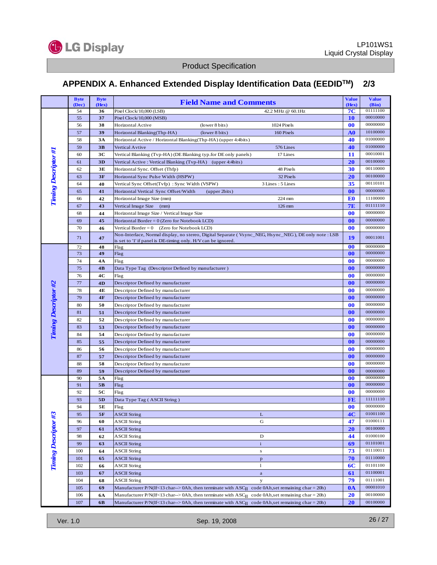

# **APPENDIX A. Enhanced Extended Display Identification Data (EEDIDTM) 2/3**

|                             | <b>Byte</b><br>(Dec) | <b>Byte</b><br>(Hex) | <b>Field Name and Comments</b>                                                                                                            | <b>Value</b><br>(Hex) | <b>Value</b><br>(Bin) |
|-----------------------------|----------------------|----------------------|-------------------------------------------------------------------------------------------------------------------------------------------|-----------------------|-----------------------|
|                             | 54                   | 36                   | Pixel Clock/10,000 (LSB)<br>42.2 MHz @ 60.1Hz                                                                                             | 7C                    | 01111100              |
|                             | 55                   | 37                   | Pixel Clock/10,000 (MSB)                                                                                                                  | 10                    | 00010000              |
|                             | 56                   | 38                   | (lower 8 bits)<br>1024 Pixels<br>Horizontal Active                                                                                        | 00                    | 00000000              |
|                             | 57                   | 39                   | (lower 8 bits)<br>160 Pixels<br>Horizontal Blanking(Thp-HA)                                                                               | A <sub>0</sub>        | 10100000              |
|                             | 58                   | 3A                   | Horizontal Active / Horizontal Blanking(Thp-HA) (upper 4:4bits)                                                                           | 40                    | 01000000              |
|                             | 59                   | 3B                   | 576 Lines<br>Vertical Avtive                                                                                                              | 40                    | 01000000              |
|                             | 60                   | 3 <sub>C</sub>       | Vertical Blanking (Tvp-HA) (DE Blanking typ.for DE only panels)<br>17 Lines                                                               | 11                    | 00010001              |
|                             | 61                   | 3D                   | Vertical Active: Vertical Blanking (Tvp-HA) (upper 4:4bits)                                                                               | 20                    | 00100000              |
| <b>Timing Descriptor #1</b> | 62                   | 3E                   | 48 Pixels<br>Horizontal Sync. Offset (Thfp)                                                                                               | 30                    | 00110000              |
|                             | 63                   | 3F                   | 32 Pixels<br>Horizontal Sync Pulse Width (HSPW)                                                                                           | 20                    | 00100000              |
|                             | 64                   | 40                   | Vertical Sync Offset(Tvfp): Sync Width (VSPW)<br>3 Lines: 5 Lines                                                                         | 35                    | 00110101              |
|                             | 65                   | 41                   | Horizontal Vertical Sync Offset/Width<br>(upper 2bits)                                                                                    | 00                    | 00000000              |
|                             | 66                   | 42                   | Horizontal Image Size (mm)<br>224 mm                                                                                                      | E <sub>0</sub>        | 11100000              |
|                             | 67                   | 43                   | Vertical Image Size (mm)<br>$126 \text{ mm}$                                                                                              | <b>7E</b>             | 01111110              |
|                             | 68                   | 44                   | Horizontal Image Size / Vertical Image Size                                                                                               | 00                    | 00000000              |
|                             | 69                   | 45                   | Horizontal Border = $0$ (Zero for Notebook LCD)                                                                                           | 00                    | 00000000              |
|                             | 70                   | 46                   | Vertical Border = $0$ (Zero for Notebook LCD)                                                                                             | 00                    | 00000000              |
|                             | 71                   | 47                   | Non-Interlace, Normal display, no stereo, Digital Separate (Vsync_NEG, Hsync_NEG), DE only note: LSB                                      | 19                    | 00011001              |
|                             | 72                   | 48                   | is set to '1' if panel is DE-timing only. H/V can be ignored.<br>Flag                                                                     | 00                    | 00000000              |
|                             | 73                   | 49                   | Flag                                                                                                                                      | 00                    | 00000000              |
|                             | 74                   | 4Α                   | Flag                                                                                                                                      | 00                    | 00000000              |
|                             | 75                   | 4B                   | Data Type Tag (Descriptor Defined by manufacturer)                                                                                        | 00                    | 00000000              |
|                             | 76                   | 4C                   | Flag                                                                                                                                      | 00                    | 00000000              |
|                             | 77                   | 4D                   | Descriptor Defined by manufacturer                                                                                                        | 00                    | 00000000              |
|                             | 78                   | 4E                   | Descriptor Defined by manufacturer                                                                                                        | 00                    | 00000000              |
|                             | 79                   | 4F                   | Descriptor Defined by manufacturer                                                                                                        | 00                    | 00000000              |
|                             | 80                   | 50                   | Descriptor Defined by manufacturer                                                                                                        | 00                    | 00000000              |
|                             | 81                   | 51                   | Descriptor Defined by manufacturer                                                                                                        | 00                    | 00000000              |
|                             | 82                   | 52                   | Descriptor Defined by manufacturer                                                                                                        | 00                    | 00000000              |
|                             | 83                   | 53                   | Descriptor Defined by manufacturer                                                                                                        | 00                    | 00000000              |
| <b>Timing Descriptor #2</b> | 84                   | 54                   | Descriptor Defined by manufacturer                                                                                                        | 00                    | 00000000              |
|                             | 85                   | 55                   | Descriptor Defined by manufacturer                                                                                                        | 00                    | 00000000              |
|                             | 86                   | 56                   | Descriptor Defined by manufacturer                                                                                                        | 00                    | 00000000              |
|                             | 87                   | 57                   | Descriptor Defined by manufacturer                                                                                                        | 00                    | 00000000              |
|                             | 88                   | 58                   | Descriptor Defined by manufacturer                                                                                                        | 00                    | 00000000              |
|                             | 89                   | 59                   | Descriptor Defined by manufacturer                                                                                                        | 00                    | 00000000              |
|                             | 90                   | 5Α                   | Flag                                                                                                                                      | 00                    | 00000000              |
|                             | 91                   | 5 <sub>B</sub>       | Flag                                                                                                                                      | 00                    | 00000000              |
|                             | 92                   | 5C                   | Flag                                                                                                                                      | 00                    | 00000000              |
|                             | 93                   | 5D                   | Data Type Tag (ASCII String)                                                                                                              | FE                    | 11111110              |
|                             | 94                   | 5E                   | Flag                                                                                                                                      | 00                    | 00000000              |
| ఐ                           | 95                   | 5F                   | <b>ASCII String</b><br>L                                                                                                                  | 4 <sup>C</sup>        | 01001100              |
|                             | 96                   | 60                   | ASCII String<br>G                                                                                                                         | 47                    | 01000111              |
| <b>Timing Descriptor #</b>  | 97                   | 61                   | <b>ASCII String</b>                                                                                                                       | 20                    | 00100000              |
|                             | 98                   | 62                   | ASCII String<br>D                                                                                                                         | 44                    | 01000100              |
|                             | 99                   | 63                   | <b>ASCII String</b><br>$\mathbf{i}$                                                                                                       | 69                    | 01101001              |
|                             | 100                  | 64                   | ASCII String<br>${\bf s}$                                                                                                                 | 73                    | 01110011              |
|                             | 101                  | 65                   | ASCII String<br>$\mathbf{p}$                                                                                                              | 70                    | 01110000              |
|                             | 102                  | 66                   | $\mathbf{1}$<br>ASCII String                                                                                                              | 6C                    | 01101100              |
|                             | 103                  | 67                   | ASCII String<br>$\mathbf{a}$                                                                                                              | 61                    | 01100001              |
|                             | 104                  | 68                   | ASCII String<br>у                                                                                                                         | 79                    | 01111001              |
|                             | 105                  | 69                   | Manufacturer $P/N(If<13 \text{ char} \rightarrow 0\text{Ah})$ , then terminate with ASC <sub>II</sub> code 0Ah, set remaining char = 20h) | 0A                    | 00001010              |
|                             | 106                  | 6A                   | Manufacturer P/N(If<13 char--> 0Ah, then terminate with ASC <sub>II</sub> code 0Ah, set remaining char = 20h)                             | 20                    | 00100000              |
|                             | 107                  | 6 <b>B</b>           | Manufacturer P/N(If<13 char--> 0Ah, then terminate with $\text{ASC}_{\text{II}}$ code 0Ah, set remaining char = 20h)                      | 20                    | 00100000              |